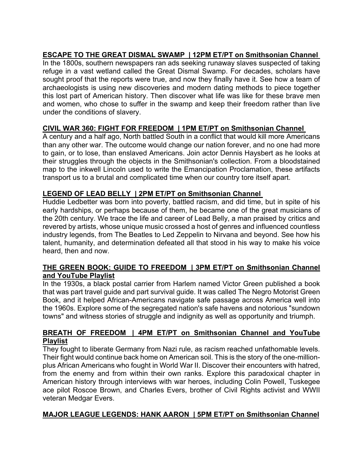# **ESCAPE TO THE GREAT DISMAL SWAMP | 12PM ET/PT on Smithsonian Channel**

In the 1800s, southern newspapers ran ads seeking runaway slaves suspected of taking refuge in a vast wetland called the Great Dismal Swamp. For decades, scholars have sought proof that the reports were true, and now they finally have it. See how a team of archaeologists is using new discoveries and modern dating methods to piece together this lost part of American history. Then discover what life was like for these brave men and women, who chose to suffer in the swamp and keep their freedom rather than live under the conditions of slavery.

# **CIVIL WAR 360: FIGHT FOR FREEDOM | 1PM ET/PT on Smithsonian Channel**

A century and a half ago, North battled South in a conflict that would kill more Americans than any other war. The outcome would change our nation forever, and no one had more to gain, or to lose, than enslaved Americans. Join actor Dennis Haysbert as he looks at their struggles through the objects in the Smithsonian's collection. From a bloodstained map to the inkwell Lincoln used to write the Emancipation Proclamation, these artifacts transport us to a brutal and complicated time when our country tore itself apart.

# **LEGEND OF LEAD BELLY | 2PM ET/PT on Smithsonian Channel**

Huddie Ledbetter was born into poverty, battled racism, and did time, but in spite of his early hardships, or perhaps because of them, he became one of the great musicians of the 20th century. We trace the life and career of Lead Belly, a man praised by critics and revered by artists, whose unique music crossed a host of genres and influenced countless industry legends, from The Beatles to Led Zeppelin to Nirvana and beyond. See how his talent, humanity, and determination defeated all that stood in his way to make his voice heard, then and now.

#### **THE GREEN BOOK: GUIDE TO FREEDOM | 3PM ET/PT on Smithsonian Channel and YouTube Playlist**

In the 1930s, a black postal carrier from Harlem named Victor Green published a book that was part travel guide and part survival guide. It was called The Negro Motorist Green Book, and it helped African-Americans navigate safe passage across America well into the 1960s. Explore some of the segregated nation's safe havens and notorious "sundown towns" and witness stories of struggle and indignity as well as opportunity and triumph.

#### **BREATH OF FREEDOM | 4PM ET/PT on Smithsonian Channel and YouTube Playlist**

They fought to liberate Germany from Nazi rule, as racism reached unfathomable levels. Their fight would continue back home on American soil. This is the story of the one-millionplus African Americans who fought in World War II. Discover their encounters with hatred, from the enemy and from within their own ranks. Explore this paradoxical chapter in American history through interviews with war heroes, including Colin Powell, Tuskegee ace pilot Roscoe Brown, and Charles Evers, brother of Civil Rights activist and WWII veteran Medgar Evers.

# **MAJOR LEAGUE LEGENDS: HANK AARON | 5PM ET/PT on Smithsonian Channel**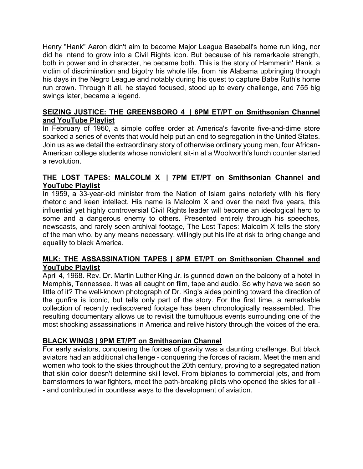Henry "Hank" Aaron didn't aim to become Major League Baseball's home run king, nor did he intend to grow into a Civil Rights icon. But because of his remarkable strength, both in power and in character, he became both. This is the story of Hammerin' Hank, a victim of discrimination and bigotry his whole life, from his Alabama upbringing through his days in the Negro League and notably during his quest to capture Babe Ruth's home run crown. Through it all, he stayed focused, stood up to every challenge, and 755 big swings later, became a legend.

#### **SEIZING JUSTICE: THE GREENSBORO 4 | 6PM ET/PT on Smithsonian Channel and YouTube Playlist**

In February of 1960, a simple coffee order at America's favorite five-and-dime store sparked a series of events that would help put an end to segregation in the United States. Join us as we detail the extraordinary story of otherwise ordinary young men, four African-American college students whose nonviolent sit-in at a Woolworth's lunch counter started a revolution.

# **THE LOST TAPES: MALCOLM X | 7PM ET/PT on Smithsonian Channel and YouTube Playlist**

In 1959, a 33-year-old minister from the Nation of Islam gains notoriety with his fiery rhetoric and keen intellect. His name is Malcolm X and over the next five years, this influential yet highly controversial Civil Rights leader will become an ideological hero to some and a dangerous enemy to others. Presented entirely through his speeches, newscasts, and rarely seen archival footage, The Lost Tapes: Malcolm X tells the story of the man who, by any means necessary, willingly put his life at risk to bring change and equality to black America.

#### **MLK: THE ASSASSINATION TAPES | 8PM ET/PT on Smithsonian Channel and YouTube Playlist**

April 4, 1968. Rev. Dr. Martin Luther King Jr. is gunned down on the balcony of a hotel in Memphis, Tennessee. It was all caught on film, tape and audio. So why have we seen so little of it? The well-known photograph of Dr. King's aides pointing toward the direction of the gunfire is iconic, but tells only part of the story. For the first time, a remarkable collection of recently rediscovered footage has been chronologically reassembled. The resulting documentary allows us to revisit the tumultuous events surrounding one of the most shocking assassinations in America and relive history through the voices of the era.

# **BLACK WINGS | 9PM ET/PT on Smithsonian Channel**

For early aviators, conquering the forces of gravity was a daunting challenge. But black aviators had an additional challenge - conquering the forces of racism. Meet the men and women who took to the skies throughout the 20th century, proving to a segregated nation that skin color doesn't determine skill level. From biplanes to commercial jets, and from barnstormers to war fighters, meet the path-breaking pilots who opened the skies for all - - and contributed in countless ways to the development of aviation.